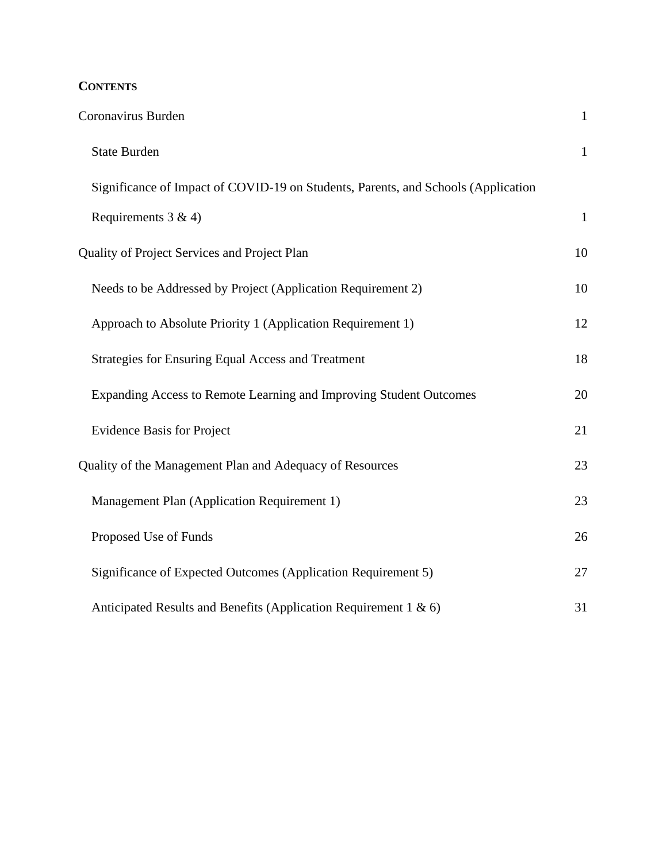# **CONTENTS**

| Coronavirus Burden                                                                | $\mathbf{1}$ |
|-----------------------------------------------------------------------------------|--------------|
| <b>State Burden</b>                                                               | $\mathbf{1}$ |
| Significance of Impact of COVID-19 on Students, Parents, and Schools (Application |              |
| Requirements $3 & 4$ )                                                            | $\mathbf{1}$ |
| Quality of Project Services and Project Plan                                      | 10           |
| Needs to be Addressed by Project (Application Requirement 2)                      | 10           |
| Approach to Absolute Priority 1 (Application Requirement 1)                       | 12           |
| <b>Strategies for Ensuring Equal Access and Treatment</b>                         | 18           |
| Expanding Access to Remote Learning and Improving Student Outcomes                | 20           |
| <b>Evidence Basis for Project</b>                                                 | 21           |
| Quality of the Management Plan and Adequacy of Resources                          | 23           |
| Management Plan (Application Requirement 1)                                       | 23           |
| Proposed Use of Funds                                                             | 26           |
| Significance of Expected Outcomes (Application Requirement 5)                     | 27           |
| Anticipated Results and Benefits (Application Requirement 1 & 6)                  | 31           |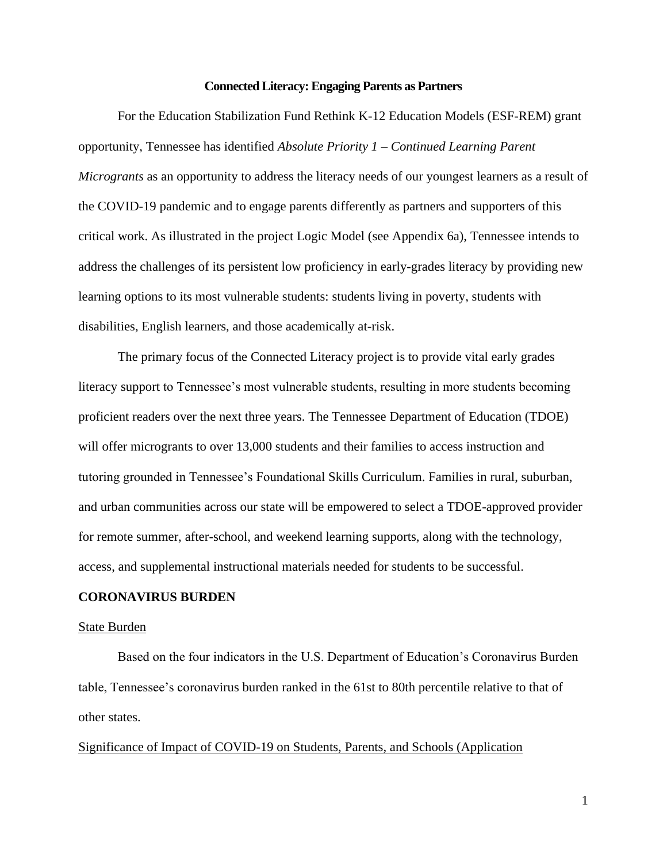# **Connected Literacy: Engaging Parents as Partners**

For the Education Stabilization Fund Rethink K-12 Education Models (ESF-REM) grant opportunity, Tennessee has identified *Absolute Priority 1 – Continued Learning Parent Microgrants* as an opportunity to address the literacy needs of our youngest learners as a result of the COVID-19 pandemic and to engage parents differently as partners and supporters of this critical work. As illustrated in the project Logic Model (see Appendix 6a), Tennessee intends to address the challenges of its persistent low proficiency in early-grades literacy by providing new learning options to its most vulnerable students: students living in poverty, students with disabilities, English learners, and those academically at-risk.

The primary focus of the Connected Literacy project is to provide vital early grades literacy support to Tennessee's most vulnerable students, resulting in more students becoming proficient readers over the next three years. The Tennessee Department of Education (TDOE) will offer microgrants to over 13,000 students and their families to access instruction and tutoring grounded in Tennessee's Foundational Skills Curriculum. Families in rural, suburban, and urban communities across our state will be empowered to select a TDOE-approved provider for remote summer, after-school, and weekend learning supports, along with the technology, access, and supplemental instructional materials needed for students to be successful.

# <span id="page-1-0"></span>**CORONAVIRUS BURDEN**

#### <span id="page-1-1"></span>State Burden

Based on the four indicators in the U.S. Department of Education's Coronavirus Burden table, Tennessee's coronavirus burden ranked in the 61st to 80th percentile relative to that of other states.

<span id="page-1-2"></span>Significance of Impact of COVID-19 on Students, Parents, and Schools (Application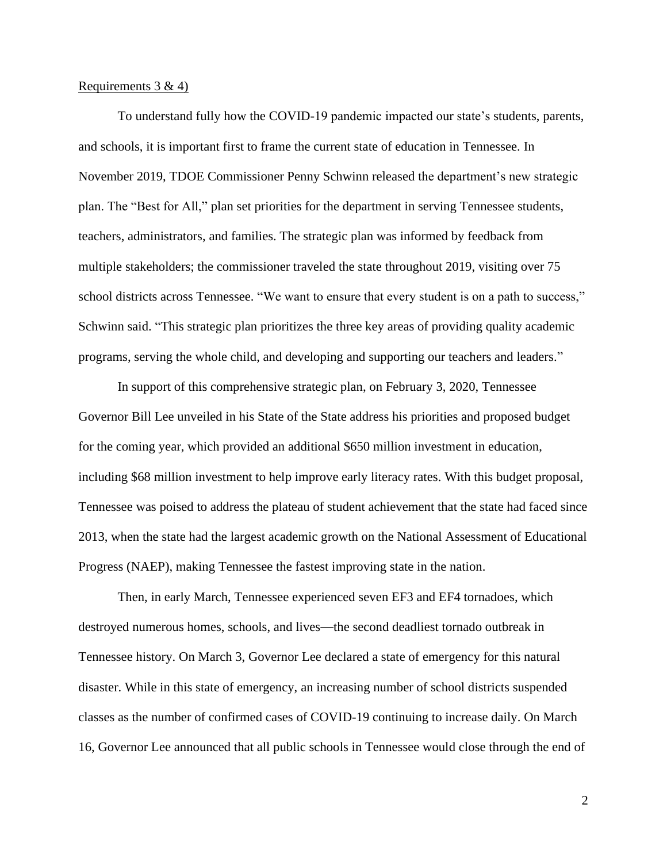#### Requirements  $3 & 4$

To understand fully how the COVID-19 pandemic impacted our state's students, parents, and schools, it is important first to frame the current state of education in Tennessee. In November 2019, TDOE Commissioner Penny Schwinn released the department's new strategic plan. The "Best for All," plan set priorities for the department in serving Tennessee students, teachers, administrators, and families. The strategic plan was informed by feedback from multiple stakeholders; the commissioner traveled the state throughout 2019, visiting over 75 school districts across Tennessee. "We want to ensure that every student is on a path to success," Schwinn said. "This strategic plan prioritizes the three key areas of providing quality academic programs, serving the whole child, and developing and supporting our teachers and leaders."

In support of this comprehensive strategic plan, on February 3, 2020, Tennessee Governor Bill Lee unveiled in his State of the State address his priorities and proposed budget for the coming year, which provided an additional \$650 million investment in education, including \$68 million investment to help improve early literacy rates. With this budget proposal, Tennessee was poised to address the plateau of student achievement that the state had faced since 2013, when the state had the largest academic growth on the National Assessment of Educational Progress (NAEP), making Tennessee the fastest improving state in the nation.

Then, in early March, Tennessee experienced seven EF3 and EF4 tornadoes, which destroyed numerous homes, schools, and lives—the second deadliest tornado outbreak in Tennessee history. On March 3, Governor Lee declared a state of emergency for this natural disaster. While in this state of emergency, an increasing number of school districts suspended classes as the number of confirmed cases of COVID-19 continuing to increase daily. On March 16, Governor Lee announced that all public schools in Tennessee would close through the end of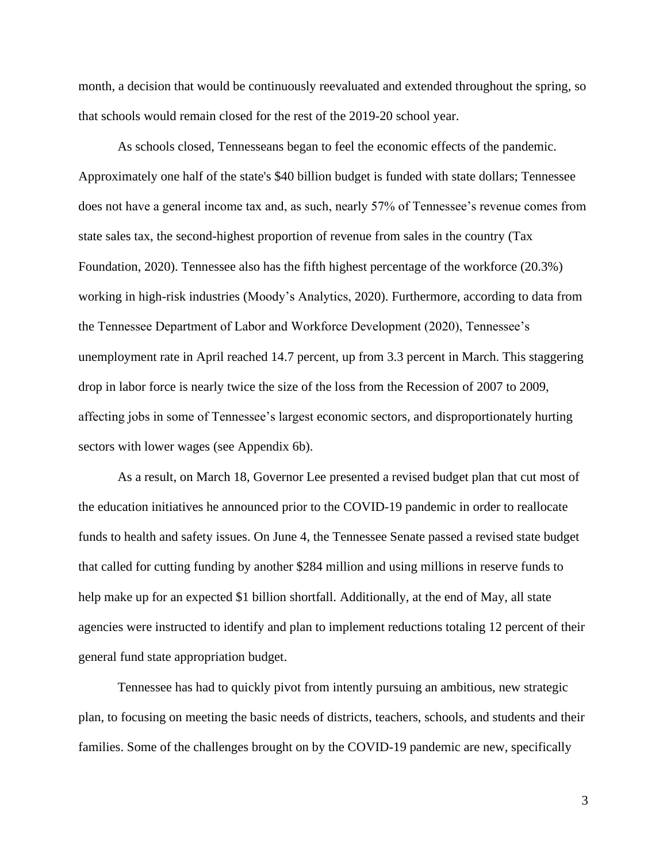month, a decision that would be continuously reevaluated and extended throughout the spring, so that schools would remain closed for the rest of the 2019-20 school year.

As schools closed, Tennesseans began to feel the economic effects of the pandemic. Approximately one half of the state's \$40 billion budget is funded with state dollars; Tennessee does not have a general income tax and, as such, nearly 57% of Tennessee's revenue comes from state sales tax, the second-highest proportion of revenue from sales in the country (Tax Foundation, 2020). Tennessee also has the fifth highest percentage of the workforce (20.3%) working in high-risk industries (Moody's Analytics, 2020). Furthermore, according to data from the Tennessee Department of Labor and Workforce Development (2020), Tennessee's unemployment rate in April reached 14.7 percent, up from 3.3 percent in March. This staggering drop in labor force is nearly twice the size of the loss from the Recession of 2007 to 2009, affecting jobs in some of Tennessee's largest economic sectors*,* and disproportionately hurting sectors with lower wages (see Appendix 6b).

As a result, on March 18, Governor Lee presented a revised budget plan that cut most of the education initiatives he announced prior to the COVID-19 pandemic in order to reallocate funds to health and safety issues. On June 4, the Tennessee Senate passed a revised state budget that called for cutting funding by another \$284 million and using millions in reserve funds to help make up for an expected \$1 billion shortfall. Additionally, at the end of May, all state agencies were instructed to identify and plan to implement reductions totaling 12 percent of their general fund state appropriation budget.

Tennessee has had to quickly pivot from intently pursuing an ambitious, new strategic plan, to focusing on meeting the basic needs of districts, teachers, schools, and students and their families. Some of the challenges brought on by the COVID-19 pandemic are new, specifically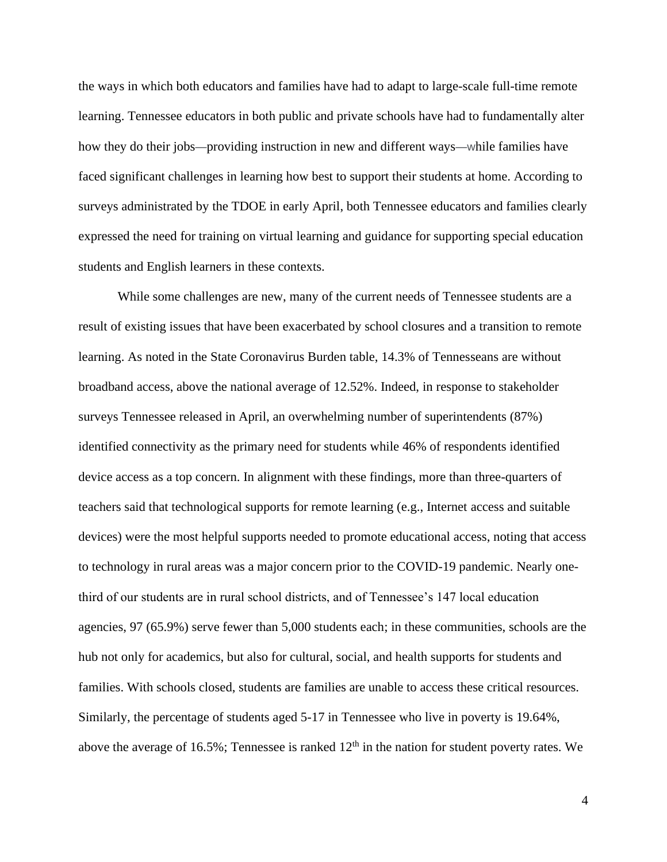the ways in which both educators and families have had to adapt to large-scale full-time remote learning. Tennessee educators in both public and private schools have had to fundamentally alter how they do their jobs—providing instruction in new and different ways—while families have faced significant challenges in learning how best to support their students at home. According to surveys administrated by the TDOE in early April, both Tennessee educators and families clearly expressed the need for training on virtual learning and guidance for supporting special education students and English learners in these contexts.

While some challenges are new, many of the current needs of Tennessee students are a result of existing issues that have been exacerbated by school closures and a transition to remote learning. As noted in the State Coronavirus Burden table, 14.3% of Tennesseans are without broadband access, above the national average of 12.52%. Indeed, in response to stakeholder surveys Tennessee released in April, an overwhelming number of superintendents (87%) identified connectivity as the primary need for students while 46% of respondents identified device access as a top concern. In alignment with these findings, more than three-quarters of teachers said that technological supports for remote learning (e.g., Internet access and suitable devices) were the most helpful supports needed to promote educational access, noting that access to technology in rural areas was a major concern prior to the COVID-19 pandemic. Nearly onethird of our students are in rural school districts, and of Tennessee's 147 local education agencies, 97 (65.9%) serve fewer than 5,000 students each; in these communities, schools are the hub not only for academics, but also for cultural, social, and health supports for students and families. With schools closed, students are families are unable to access these critical resources. Similarly, the percentage of students aged 5-17 in Tennessee who live in poverty is 19.64%, above the average of 16.5%; Tennessee is ranked  $12<sup>th</sup>$  in the nation for student poverty rates. We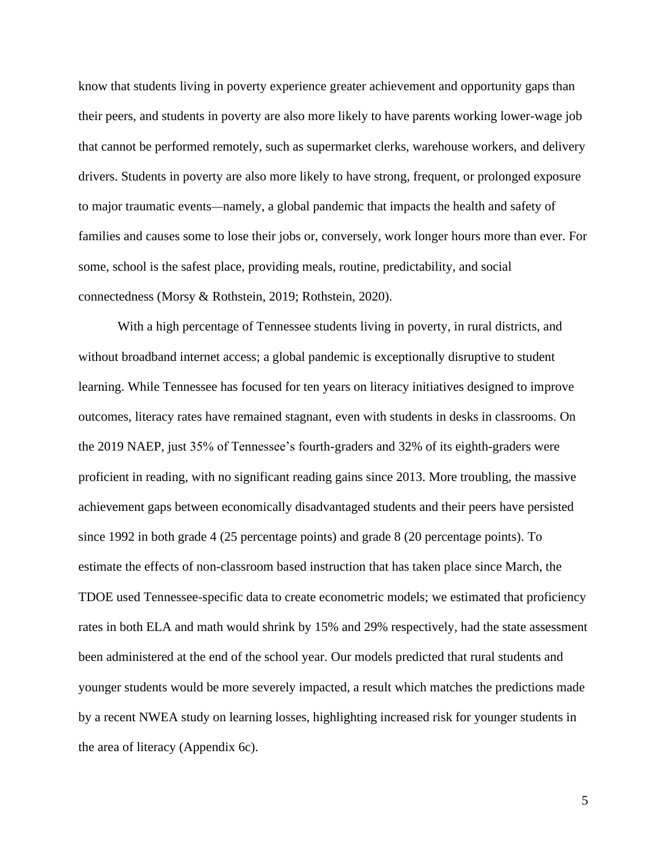know that students living in poverty experience greater achievement and opportunity gaps than their peers, and students in poverty are also more likely to have parents working lower-wage job that cannot be performed remotely, such as supermarket clerks, warehouse workers, and delivery drivers. Students in poverty are also more likely to have strong, frequent, or prolonged exposure to major traumatic events—namely, a global pandemic that impacts the health and safety of families and causes some to lose their jobs or, conversely, work longer hours more than ever. For some, school is the safest place, providing meals, routine, predictability, and social connectedness (Morsy & Rothstein, 2019; Rothstein, 2020).

With a high percentage of Tennessee students living in poverty, in rural districts, and without broadband internet access; a global pandemic is exceptionally disruptive to student learning. While Tennessee has focused for ten years on literacy initiatives designed to improve outcomes, literacy rates have remained stagnant, even with students in desks in classrooms. On the 2019 NAEP, just 35% of Tennessee's fourth-graders and 32% of its eighth-graders were proficient in reading, with no significant reading gains since 2013. More troubling, the massive achievement gaps between economically disadvantaged students and their peers have persisted since 1992 in both grade 4 (25 percentage points) and grade 8 (20 percentage points). To estimate the effects of non-classroom based instruction that has taken place since March, the TDOE used Tennessee-specific data to create econometric models; we estimated that proficiency rates in both ELA and math would shrink by 15% and 29% respectively, had the state assessment been administered at the end of the school year. Our models predicted that rural students and younger students would be more severely impacted, a result which matches the predictions made by a recent NWEA study on learning losses, highlighting increased risk for younger students in the area of literacy (Appendix 6c).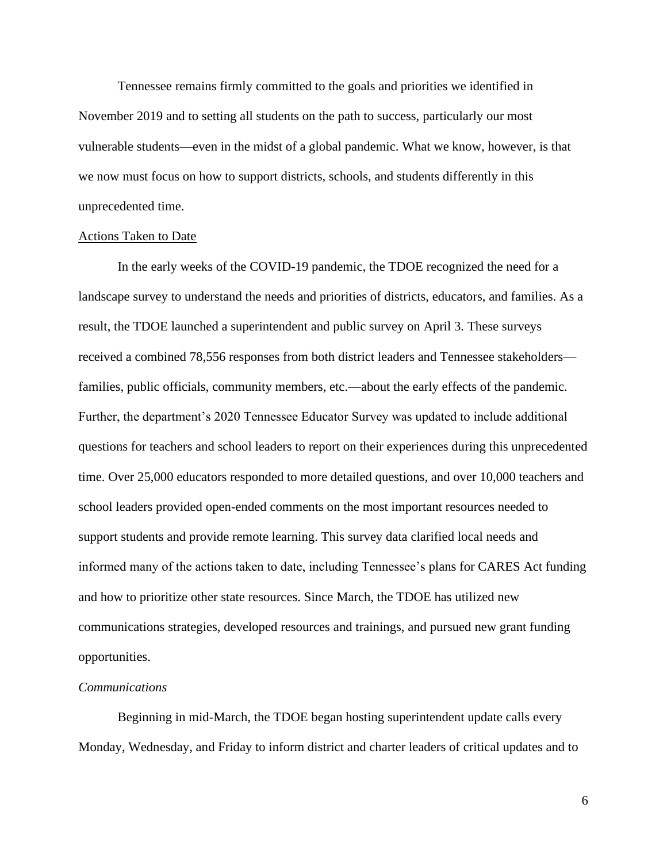Tennessee remains firmly committed to the goals and priorities we identified in November 2019 and to setting all students on the path to success, particularly our most vulnerable students—even in the midst of a global pandemic. What we know, however, is that we now must focus on how to support districts, schools, and students differently in this unprecedented time.

# Actions Taken to Date

In the early weeks of the COVID-19 pandemic, the TDOE recognized the need for a landscape survey to understand the needs and priorities of districts, educators, and families. As a result, the TDOE launched a superintendent and public survey on April 3. These surveys received a combined 78,556 responses from both district leaders and Tennessee stakeholders families, public officials, community members, etc.—about the early effects of the pandemic. Further, the department's 2020 Tennessee Educator Survey was updated to include additional questions for teachers and school leaders to report on their experiences during this unprecedented time. Over 25,000 educators responded to more detailed questions, and over 10,000 teachers and school leaders provided open-ended comments on the most important resources needed to support students and provide remote learning. This survey data clarified local needs and informed many of the actions taken to date, including Tennessee's plans for CARES Act funding and how to prioritize other state resources. Since March, the TDOE has utilized new communications strategies, developed resources and trainings, and pursued new grant funding opportunities.

#### *Communications*

Beginning in mid-March, the TDOE began hosting superintendent update calls every Monday, Wednesday, and Friday to inform district and charter leaders of critical updates and to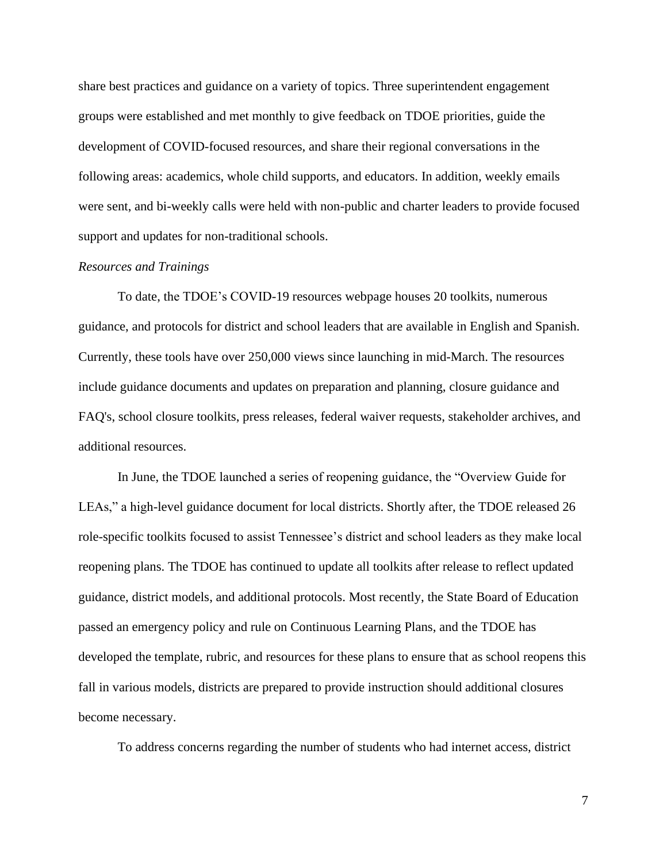share best practices and guidance on a variety of topics. Three superintendent engagement groups were established and met monthly to give feedback on TDOE priorities, guide the development of COVID-focused resources, and share their regional conversations in the following areas: academics, whole child supports, and educators. In addition, weekly emails were sent, and bi-weekly calls were held with non-public and charter leaders to provide focused support and updates for non-traditional schools.

#### *Resources and Trainings*

To date, the TDOE's COVID-19 resources webpage houses 20 toolkits, numerous guidance, and protocols for district and school leaders that are available in English and Spanish. Currently, these tools have over 250,000 views since launching in mid-March. The resources include guidance documents and updates on preparation and planning, closure guidance and FAQ's, school closure toolkits, press releases, federal waiver requests, stakeholder archives, and additional resources.

In June, the TDOE launched a series of reopening guidance, the "Overview Guide for LEAs," a high-level guidance document for local districts. Shortly after, the TDOE released 26 role-specific toolkits focused to assist Tennessee's district and school leaders as they make local reopening plans. The TDOE has continued to update all toolkits after release to reflect updated guidance, district models, and additional protocols. Most recently, the State Board of Education passed an emergency policy and rule on Continuous Learning Plans, and the TDOE has developed the template, rubric, and resources for these plans to ensure that as school reopens this fall in various models, districts are prepared to provide instruction should additional closures become necessary.

To address concerns regarding the number of students who had internet access, district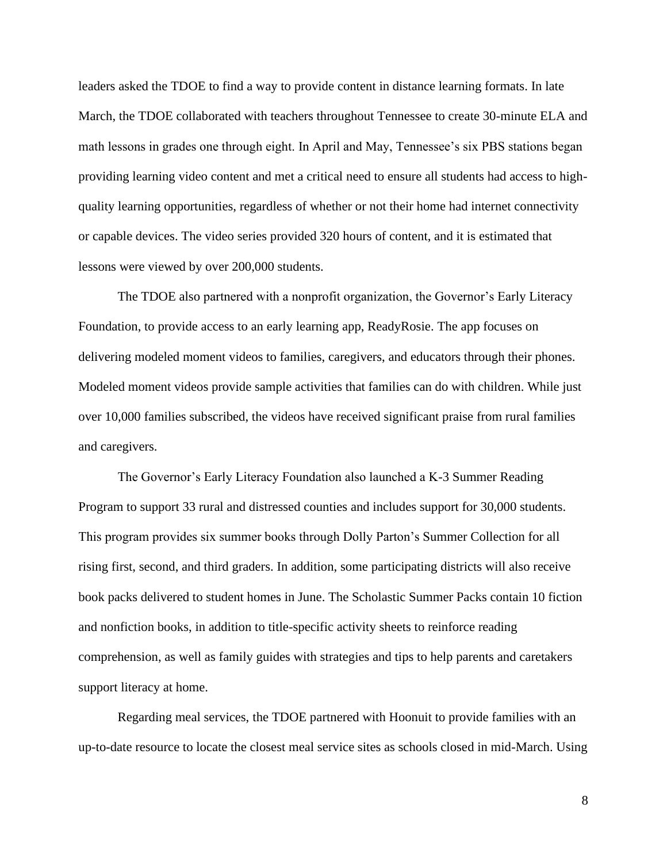leaders asked the TDOE to find a way to provide content in distance learning formats. In late March, the TDOE collaborated with teachers throughout Tennessee to create 30-minute ELA and math lessons in grades one through eight. In April and May, Tennessee's six PBS stations began providing learning video content and met a critical need to ensure all students had access to highquality learning opportunities, regardless of whether or not their home had internet connectivity or capable devices. The video series provided 320 hours of content, and it is estimated that lessons were viewed by over 200,000 students.

The TDOE also partnered with a nonprofit organization, the Governor's Early Literacy Foundation, to provide access to an early learning app, ReadyRosie. The app focuses on delivering modeled moment videos to families, caregivers, and educators through their phones. Modeled moment videos provide sample activities that families can do with children. While just over 10,000 families subscribed, the videos have received significant praise from rural families and caregivers.

The Governor's Early Literacy Foundation also launched a K-3 Summer Reading Program to support 33 rural and distressed counties and includes support for 30,000 students. This program provides six summer books through Dolly Parton's Summer Collection for all rising first, second, and third graders. In addition, some participating districts will also receive book packs delivered to student homes in June. The Scholastic Summer Packs contain 10 fiction and nonfiction books, in addition to title-specific activity sheets to reinforce reading comprehension, as well as family guides with strategies and tips to help parents and caretakers support literacy at home.

Regarding meal services, the TDOE partnered with Hoonuit to provide families with an up-to-date resource to locate the closest meal service sites as schools closed in mid-March. Using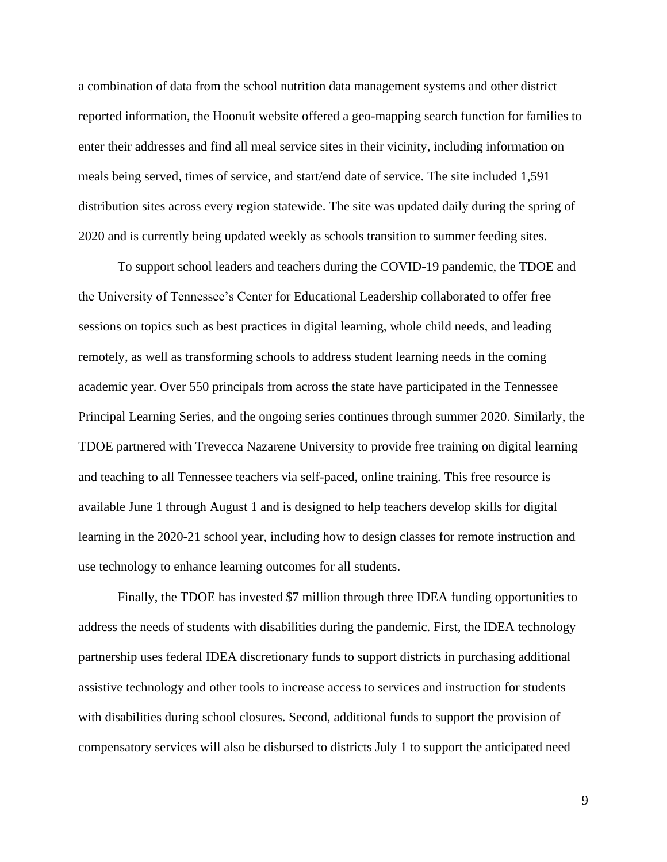a combination of data from the school nutrition data management systems and other district reported information, the Hoonuit website offered a geo-mapping search function for families to enter their addresses and find all meal service sites in their vicinity, including information on meals being served, times of service, and start/end date of service. The site included 1,591 distribution sites across every region statewide. The site was updated daily during the spring of 2020 and is currently being updated weekly as schools transition to summer feeding sites.

To support school leaders and teachers during the COVID-19 pandemic, the TDOE and the University of Tennessee's Center for Educational Leadership collaborated to offer free sessions on topics such as best practices in digital learning, whole child needs, and leading remotely, as well as transforming schools to address student learning needs in the coming academic year. Over 550 principals from across the state have participated in the Tennessee Principal Learning Series, and the ongoing series continues through summer 2020. Similarly, the TDOE partnered with Trevecca Nazarene University to provide free training on digital learning and teaching to all Tennessee teachers via self-paced, online training. This free resource is available June 1 through August 1 and is designed to help teachers develop skills for digital learning in the 2020-21 school year, including how to design classes for remote instruction and use technology to enhance learning outcomes for all students.

Finally, the TDOE has invested \$7 million through three IDEA funding opportunities to address the needs of students with disabilities during the pandemic. First, the IDEA technology partnership uses federal IDEA discretionary funds to support districts in purchasing additional assistive technology and other tools to increase access to services and instruction for students with disabilities during school closures. Second, additional funds to support the provision of compensatory services will also be disbursed to districts July 1 to support the anticipated need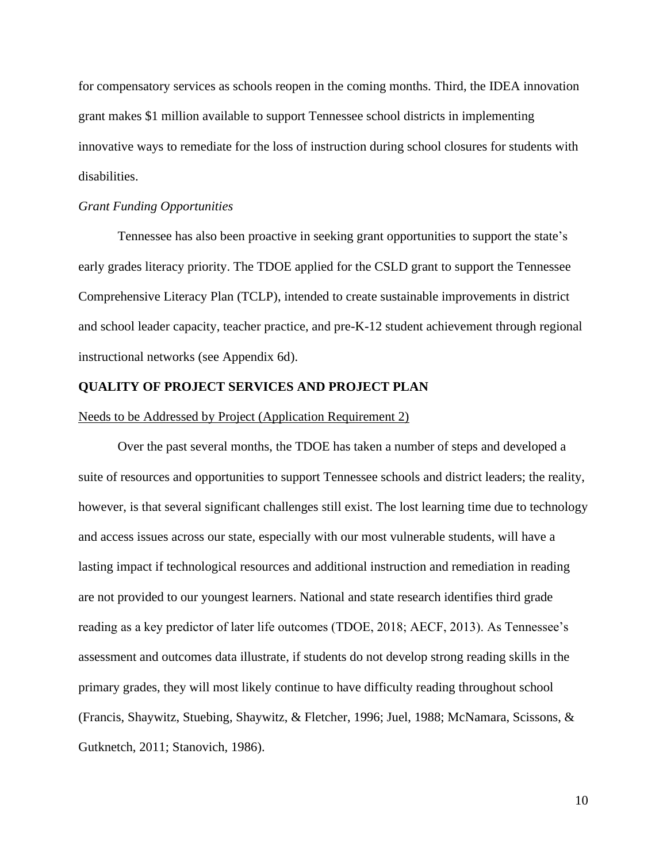for compensatory services as schools reopen in the coming months. Third, the IDEA innovation grant makes \$1 million available to support Tennessee school districts in implementing innovative ways to remediate for the loss of instruction during school closures for students with disabilities.

#### *Grant Funding Opportunities*

Tennessee has also been proactive in seeking grant opportunities to support the state's early grades literacy priority. The TDOE applied for the CSLD grant to support the Tennessee Comprehensive Literacy Plan (TCLP), intended to create sustainable improvements in district and school leader capacity, teacher practice, and pre-K-12 student achievement through regional instructional networks (see Appendix 6d).

#### <span id="page-10-0"></span>**QUALITY OF PROJECT SERVICES AND PROJECT PLAN**

#### <span id="page-10-1"></span>Needs to be Addressed by Project (Application Requirement 2)

Over the past several months, the TDOE has taken a number of steps and developed a suite of resources and opportunities to support Tennessee schools and district leaders; the reality, however, is that several significant challenges still exist. The lost learning time due to technology and access issues across our state, especially with our most vulnerable students, will have a lasting impact if technological resources and additional instruction and remediation in reading are not provided to our youngest learners. National and state research identifies third grade reading as a key predictor of later life outcomes (TDOE, 2018; AECF, 2013). As Tennessee's assessment and outcomes data illustrate, if students do not develop strong reading skills in the primary grades, they will most likely continue to have difficulty reading throughout school (Francis, Shaywitz, Stuebing, Shaywitz, & Fletcher, 1996; Juel, 1988; McNamara, Scissons, & Gutknetch, 2011; Stanovich, 1986).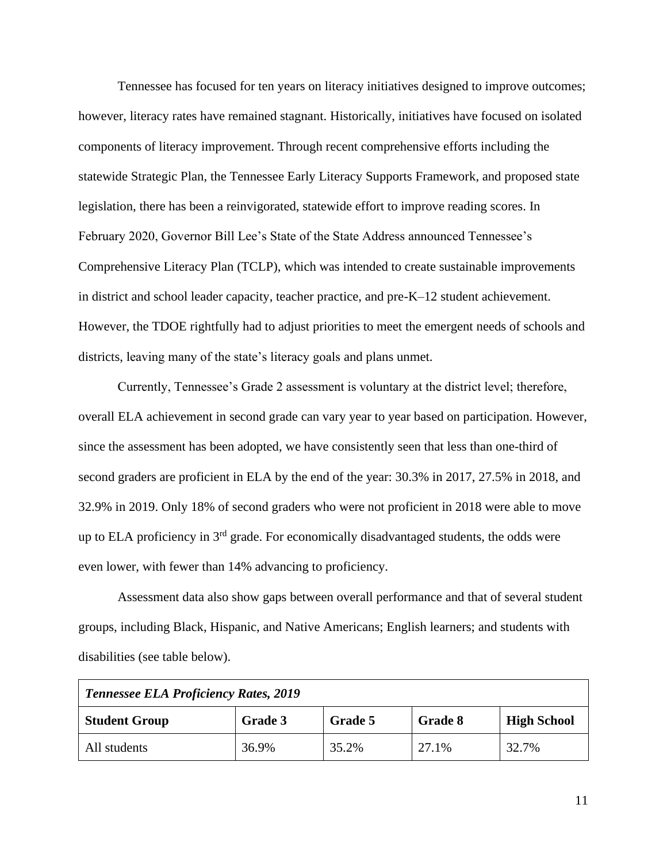Tennessee has focused for ten years on literacy initiatives designed to improve outcomes; however, literacy rates have remained stagnant. Historically, initiatives have focused on isolated components of literacy improvement. Through recent comprehensive efforts including the statewide Strategic Plan, the Tennessee Early Literacy Supports Framework, and proposed state legislation, there has been a reinvigorated, statewide effort to improve reading scores. In February 2020, Governor Bill Lee's State of the State Address announced Tennessee's Comprehensive Literacy Plan (TCLP), which was intended to create sustainable improvements in district and school leader capacity, teacher practice, and pre-K–12 student achievement. However, the TDOE rightfully had to adjust priorities to meet the emergent needs of schools and districts, leaving many of the state's literacy goals and plans unmet.

Currently, Tennessee's Grade 2 assessment is voluntary at the district level; therefore, overall ELA achievement in second grade can vary year to year based on participation. However, since the assessment has been adopted, we have consistently seen that less than one-third of second graders are proficient in ELA by the end of the year: 30.3% in 2017, 27.5% in 2018, and 32.9% in 2019. Only 18% of second graders who were not proficient in 2018 were able to move up to ELA proficiency in  $3<sup>rd</sup>$  grade. For economically disadvantaged students, the odds were even lower, with fewer than 14% advancing to proficiency.

Assessment data also show gaps between overall performance and that of several student groups, including Black, Hispanic, and Native Americans; English learners; and students with disabilities (see table below).

| <b>Tennessee ELA Proficiency Rates, 2019</b> |                |         |                |                    |  |
|----------------------------------------------|----------------|---------|----------------|--------------------|--|
| <b>Student Group</b>                         | <b>Grade 3</b> | Grade 5 | <b>Grade 8</b> | <b>High School</b> |  |
| All students                                 | 36.9%          | 35.2%   | 27.1%          | 32.7%              |  |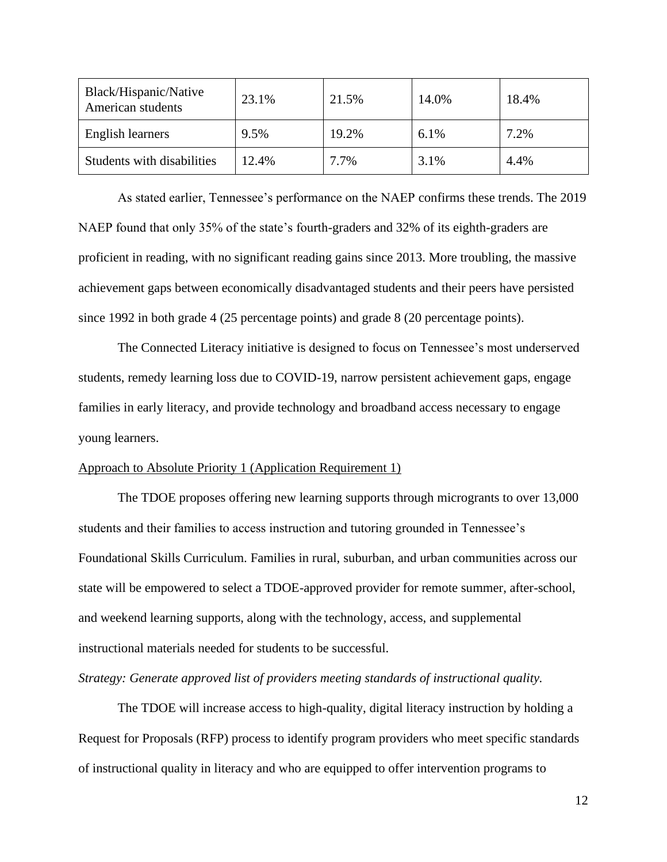| Black/Hispanic/Native<br>American students | 23.1% | 21.5% | 14.0% | 18.4% |
|--------------------------------------------|-------|-------|-------|-------|
| English learners                           | 9.5%  | 19.2% | 6.1%  | 7.2%  |
| Students with disabilities                 | 12.4% | 7.7%  | 3.1%  | 4.4%  |

As stated earlier, Tennessee's performance on the NAEP confirms these trends. The 2019 NAEP found that only 35% of the state's fourth-graders and 32% of its eighth-graders are proficient in reading, with no significant reading gains since 2013. More troubling, the massive achievement gaps between economically disadvantaged students and their peers have persisted since 1992 in both grade 4 (25 percentage points) and grade 8 (20 percentage points).

The Connected Literacy initiative is designed to focus on Tennessee's most underserved students, remedy learning loss due to COVID-19, narrow persistent achievement gaps, engage families in early literacy, and provide technology and broadband access necessary to engage young learners.

# <span id="page-12-0"></span>Approach to Absolute Priority 1 (Application Requirement 1)

The TDOE proposes offering new learning supports through microgrants to over 13,000 students and their families to access instruction and tutoring grounded in Tennessee's Foundational Skills Curriculum. Families in rural, suburban, and urban communities across our state will be empowered to select a TDOE-approved provider for remote summer, after-school, and weekend learning supports, along with the technology, access, and supplemental instructional materials needed for students to be successful.

# *Strategy: Generate approved list of providers meeting standards of instructional quality.*

The TDOE will increase access to high-quality, digital literacy instruction by holding a Request for Proposals (RFP) process to identify program providers who meet specific standards of instructional quality in literacy and who are equipped to offer intervention programs to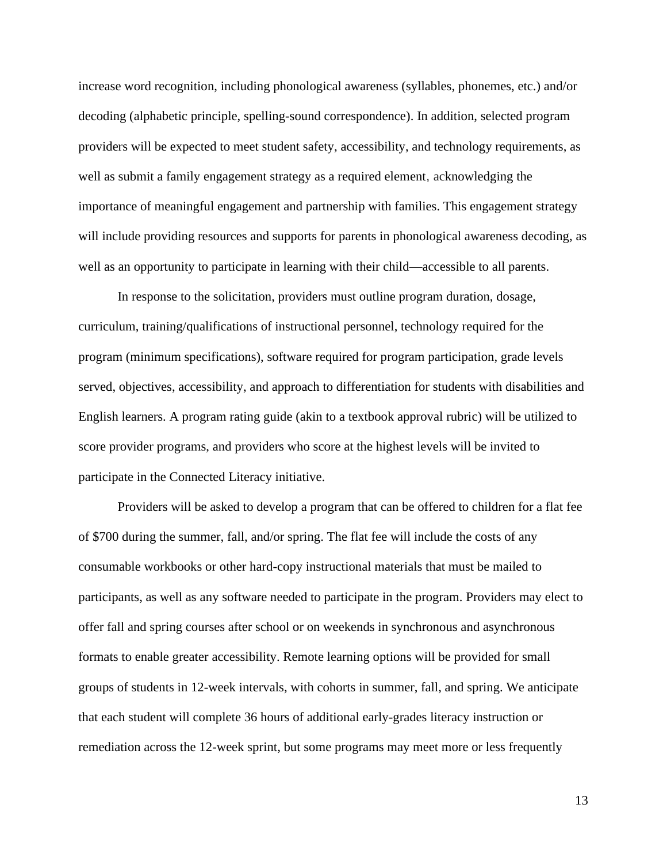increase word recognition, including phonological awareness (syllables, phonemes, etc.) and/or decoding (alphabetic principle, spelling-sound correspondence). In addition, selected program providers will be expected to meet student safety, accessibility, and technology requirements, as well as submit a family engagement strategy as a required element, acknowledging the importance of meaningful engagement and partnership with families. This engagement strategy will include providing resources and supports for parents in phonological awareness decoding, as well as an opportunity to participate in learning with their child—accessible to all parents.

In response to the solicitation, providers must outline program duration, dosage, curriculum, training/qualifications of instructional personnel, technology required for the program (minimum specifications), software required for program participation, grade levels served, objectives, accessibility, and approach to differentiation for students with disabilities and English learners. A program rating guide (akin to a textbook approval rubric) will be utilized to score provider programs, and providers who score at the highest levels will be invited to participate in the Connected Literacy initiative.

Providers will be asked to develop a program that can be offered to children for a flat fee of \$700 during the summer, fall, and/or spring. The flat fee will include the costs of any consumable workbooks or other hard-copy instructional materials that must be mailed to participants, as well as any software needed to participate in the program. Providers may elect to offer fall and spring courses after school or on weekends in synchronous and asynchronous formats to enable greater accessibility. Remote learning options will be provided for small groups of students in 12-week intervals, with cohorts in summer, fall, and spring. We anticipate that each student will complete 36 hours of additional early-grades literacy instruction or remediation across the 12-week sprint, but some programs may meet more or less frequently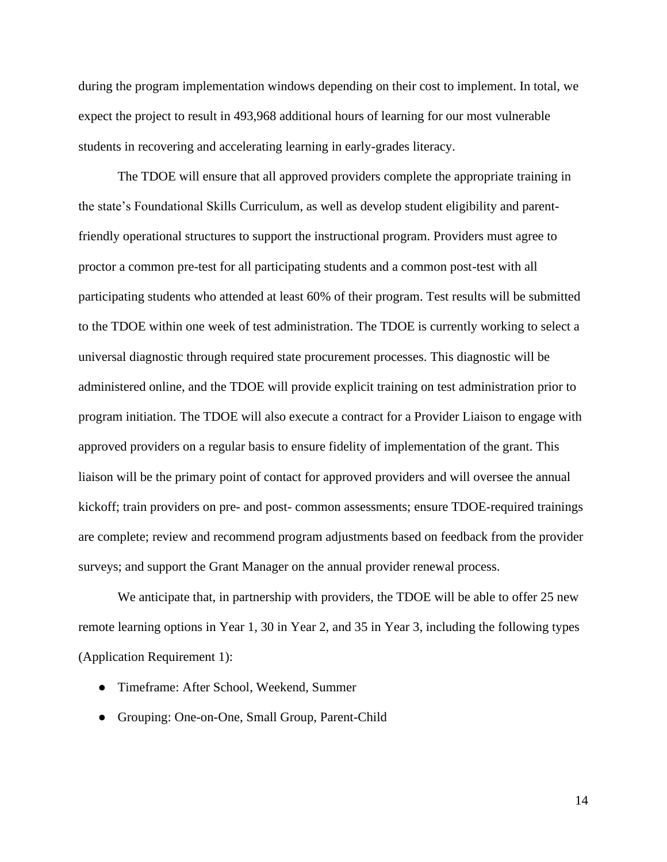during the program implementation windows depending on their cost to implement. In total, we expect the project to result in 493,968 additional hours of learning for our most vulnerable students in recovering and accelerating learning in early-grades literacy.

The TDOE will ensure that all approved providers complete the appropriate training in the state's Foundational Skills Curriculum, as well as develop student eligibility and parentfriendly operational structures to support the instructional program. Providers must agree to proctor a common pre-test for all participating students and a common post-test with all participating students who attended at least 60% of their program. Test results will be submitted to the TDOE within one week of test administration. The TDOE is currently working to select a universal diagnostic through required state procurement processes. This diagnostic will be administered online, and the TDOE will provide explicit training on test administration prior to program initiation. The TDOE will also execute a contract for a Provider Liaison to engage with approved providers on a regular basis to ensure fidelity of implementation of the grant. This liaison will be the primary point of contact for approved providers and will oversee the annual kickoff; train providers on pre- and post- common assessments; ensure TDOE-required trainings are complete; review and recommend program adjustments based on feedback from the provider surveys; and support the Grant Manager on the annual provider renewal process.

We anticipate that, in partnership with providers, the TDOE will be able to offer 25 new remote learning options in Year 1, 30 in Year 2, and 35 in Year 3, including the following types (Application Requirement 1):

- Timeframe: After School, Weekend, Summer
- Grouping: One-on-One, Small Group, Parent-Child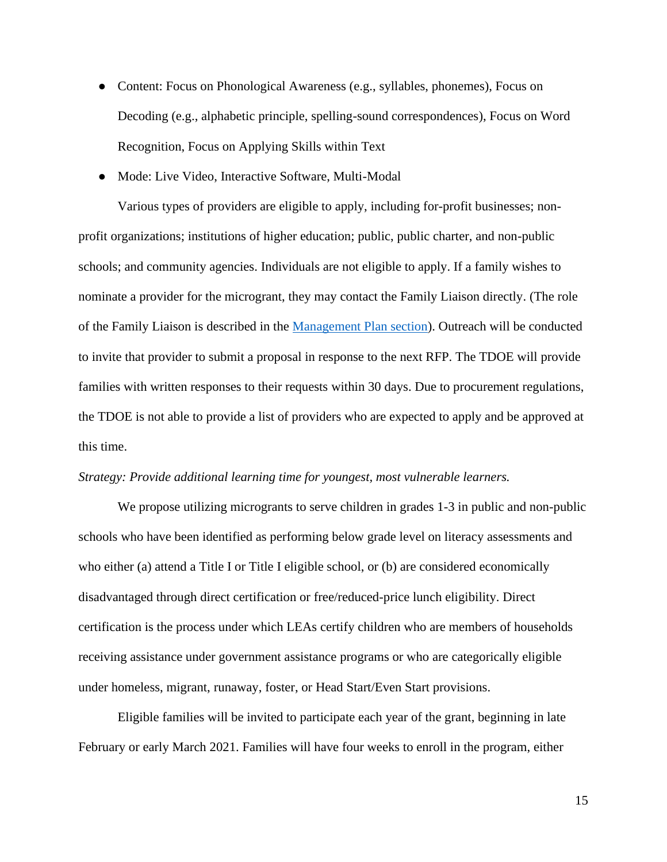- Content: Focus on Phonological Awareness (e.g., syllables, phonemes), Focus on Decoding (e.g., alphabetic principle, spelling-sound correspondences), Focus on Word Recognition, Focus on Applying Skills within Text
- Mode: Live Video, Interactive Software, Multi-Modal

Various types of providers are eligible to apply, including for-profit businesses; nonprofit organizations; institutions of higher education; public, public charter, and non-public schools; and community agencies. Individuals are not eligible to apply. If a family wishes to nominate a provider for the microgrant, they may contact the Family Liaison directly. (The role of the Family Liaison is described in the [Management Plan section\)](#page-23-1). Outreach will be conducted to invite that provider to submit a proposal in response to the next RFP. The TDOE will provide families with written responses to their requests within 30 days. Due to procurement regulations, the TDOE is not able to provide a list of providers who are expected to apply and be approved at this time.

#### *Strategy: Provide additional learning time for youngest, most vulnerable learners.*

We propose utilizing microgrants to serve children in grades 1-3 in public and non-public schools who have been identified as performing below grade level on literacy assessments and who either (a) attend a Title I or Title I eligible school, or (b) are considered economically disadvantaged through direct certification or free/reduced-price lunch eligibility. Direct certification is the process under which LEAs certify children who are members of households receiving assistance under government assistance programs or who are categorically eligible under homeless, migrant, runaway, foster, or Head Start/Even Start provisions.

Eligible families will be invited to participate each year of the grant, beginning in late February or early March 2021. Families will have four weeks to enroll in the program, either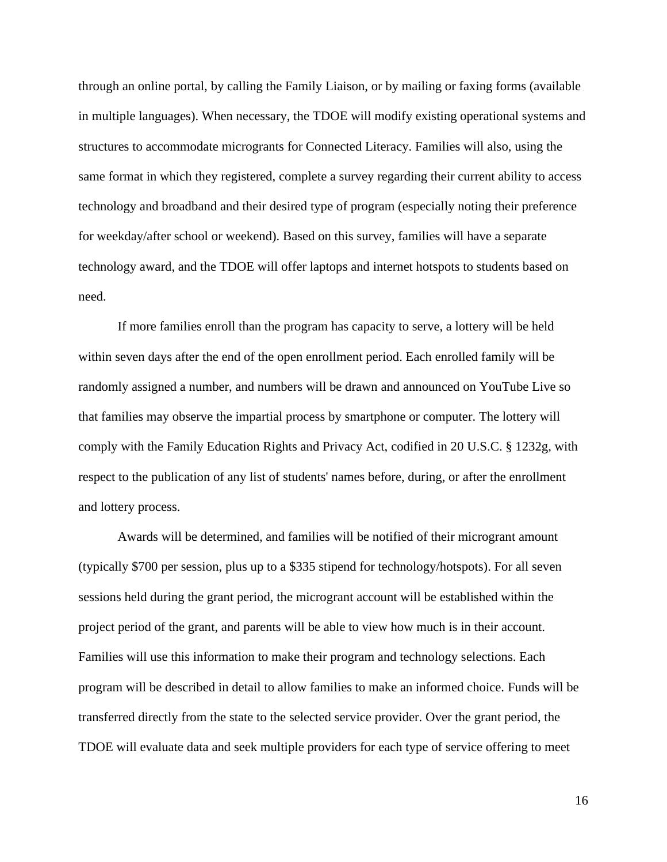through an online portal, by calling the Family Liaison, or by mailing or faxing forms (available in multiple languages). When necessary, the TDOE will modify existing operational systems and structures to accommodate microgrants for Connected Literacy. Families will also, using the same format in which they registered, complete a survey regarding their current ability to access technology and broadband and their desired type of program (especially noting their preference for weekday/after school or weekend). Based on this survey, families will have a separate technology award, and the TDOE will offer laptops and internet hotspots to students based on need.

If more families enroll than the program has capacity to serve, a lottery will be held within seven days after the end of the open enrollment period. Each enrolled family will be randomly assigned a number, and numbers will be drawn and announced on YouTube Live so that families may observe the impartial process by smartphone or computer. The lottery will comply with the Family Education Rights and Privacy Act, codified in 20 U.S.C. § 1232g, with respect to the publication of any list of students' names before, during, or after the enrollment and lottery process.

Awards will be determined, and families will be notified of their microgrant amount (typically \$700 per session, plus up to a \$335 stipend for technology/hotspots). For all seven sessions held during the grant period, the microgrant account will be established within the project period of the grant, and parents will be able to view how much is in their account. Families will use this information to make their program and technology selections. Each program will be described in detail to allow families to make an informed choice. Funds will be transferred directly from the state to the selected service provider. Over the grant period, the TDOE will evaluate data and seek multiple providers for each type of service offering to meet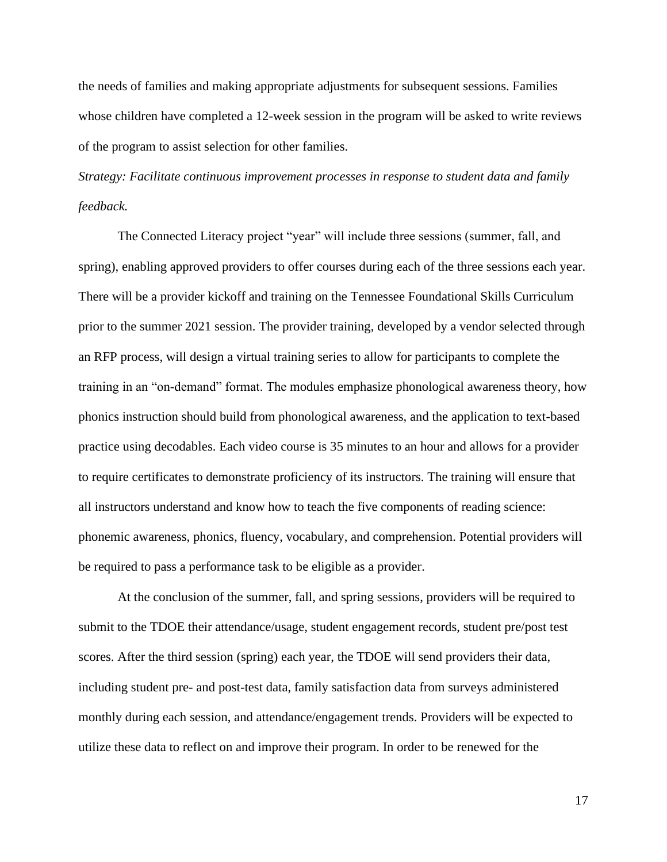the needs of families and making appropriate adjustments for subsequent sessions. Families whose children have completed a 12-week session in the program will be asked to write reviews of the program to assist selection for other families.

*Strategy: Facilitate continuous improvement processes in response to student data and family feedback.*

The Connected Literacy project "year" will include three sessions (summer, fall, and spring), enabling approved providers to offer courses during each of the three sessions each year. There will be a provider kickoff and training on the Tennessee Foundational Skills Curriculum prior to the summer 2021 session. The provider training, developed by a vendor selected through an RFP process, will design a virtual training series to allow for participants to complete the training in an "on-demand" format. The modules emphasize phonological awareness theory, how phonics instruction should build from phonological awareness, and the application to text-based practice using decodables. Each video course is 35 minutes to an hour and allows for a provider to require certificates to demonstrate proficiency of its instructors. The training will ensure that all instructors understand and know how to teach the five components of reading science: phonemic awareness, phonics, fluency, vocabulary, and comprehension. Potential providers will be required to pass a performance task to be eligible as a provider.

At the conclusion of the summer, fall, and spring sessions, providers will be required to submit to the TDOE their attendance/usage, student engagement records, student pre/post test scores. After the third session (spring) each year, the TDOE will send providers their data, including student pre- and post-test data, family satisfaction data from surveys administered monthly during each session, and attendance/engagement trends. Providers will be expected to utilize these data to reflect on and improve their program. In order to be renewed for the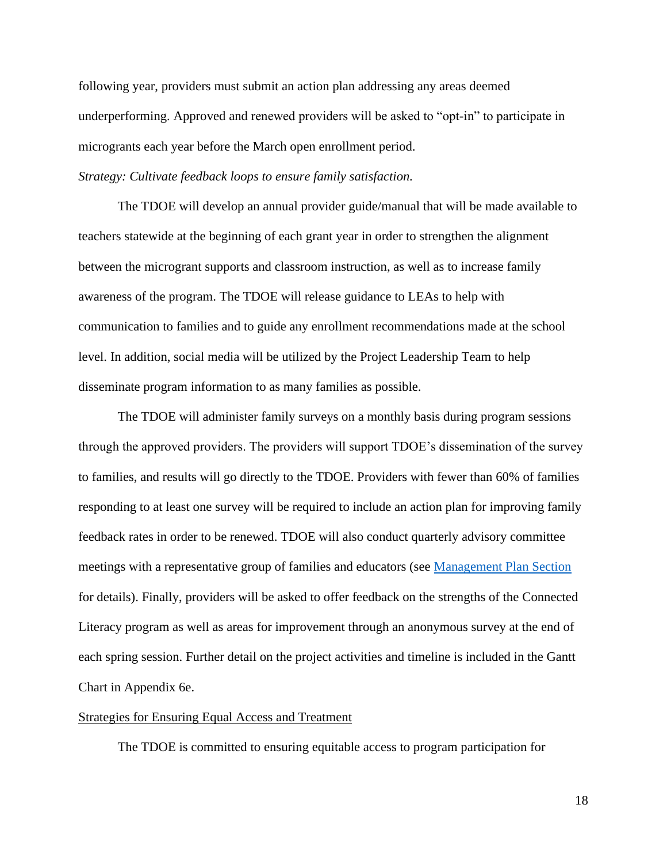following year, providers must submit an action plan addressing any areas deemed underperforming. Approved and renewed providers will be asked to "opt-in" to participate in microgrants each year before the March open enrollment period.

# *Strategy: Cultivate feedback loops to ensure family satisfaction.*

The TDOE will develop an annual provider guide/manual that will be made available to teachers statewide at the beginning of each grant year in order to strengthen the alignment between the microgrant supports and classroom instruction, as well as to increase family awareness of the program. The TDOE will release guidance to LEAs to help with communication to families and to guide any enrollment recommendations made at the school level. In addition, social media will be utilized by the Project Leadership Team to help disseminate program information to as many families as possible.

The TDOE will administer family surveys on a monthly basis during program sessions through the approved providers. The providers will support TDOE's dissemination of the survey to families, and results will go directly to the TDOE. Providers with fewer than 60% of families responding to at least one survey will be required to include an action plan for improving family feedback rates in order to be renewed. TDOE will also conduct quarterly advisory committee meetings with a representative group of families and educators (see [Management Plan](#page-23-1) Section for details). Finally, providers will be asked to offer feedback on the strengths of the Connected Literacy program as well as areas for improvement through an anonymous survey at the end of each spring session. Further detail on the project activities and timeline is included in the Gantt Chart in Appendix 6e.

# <span id="page-18-0"></span>Strategies for Ensuring Equal Access and Treatment

The TDOE is committed to ensuring equitable access to program participation for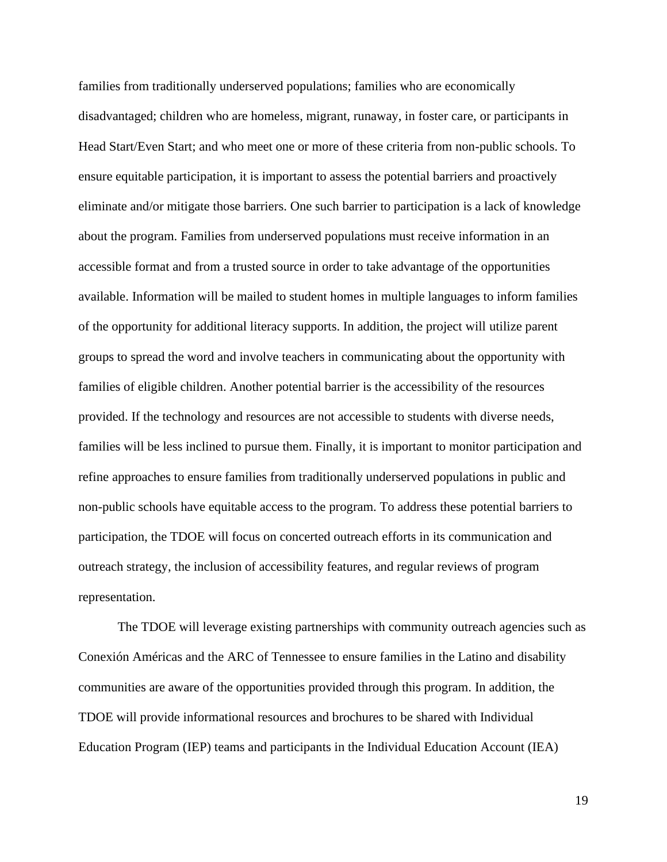families from traditionally underserved populations; families who are economically disadvantaged; children who are homeless, migrant, runaway, in foster care, or participants in Head Start/Even Start; and who meet one or more of these criteria from non-public schools. To ensure equitable participation, it is important to assess the potential barriers and proactively eliminate and/or mitigate those barriers. One such barrier to participation is a lack of knowledge about the program. Families from underserved populations must receive information in an accessible format and from a trusted source in order to take advantage of the opportunities available. Information will be mailed to student homes in multiple languages to inform families of the opportunity for additional literacy supports. In addition, the project will utilize parent groups to spread the word and involve teachers in communicating about the opportunity with families of eligible children. Another potential barrier is the accessibility of the resources provided. If the technology and resources are not accessible to students with diverse needs, families will be less inclined to pursue them. Finally, it is important to monitor participation and refine approaches to ensure families from traditionally underserved populations in public and non-public schools have equitable access to the program. To address these potential barriers to participation, the TDOE will focus on concerted outreach efforts in its communication and outreach strategy, the inclusion of accessibility features, and regular reviews of program representation.

The TDOE will leverage existing partnerships with community outreach agencies such as Conexión Américas and the ARC of Tennessee to ensure families in the Latino and disability communities are aware of the opportunities provided through this program. In addition, the TDOE will provide informational resources and brochures to be shared with Individual Education Program (IEP) teams and participants in the Individual Education Account (IEA)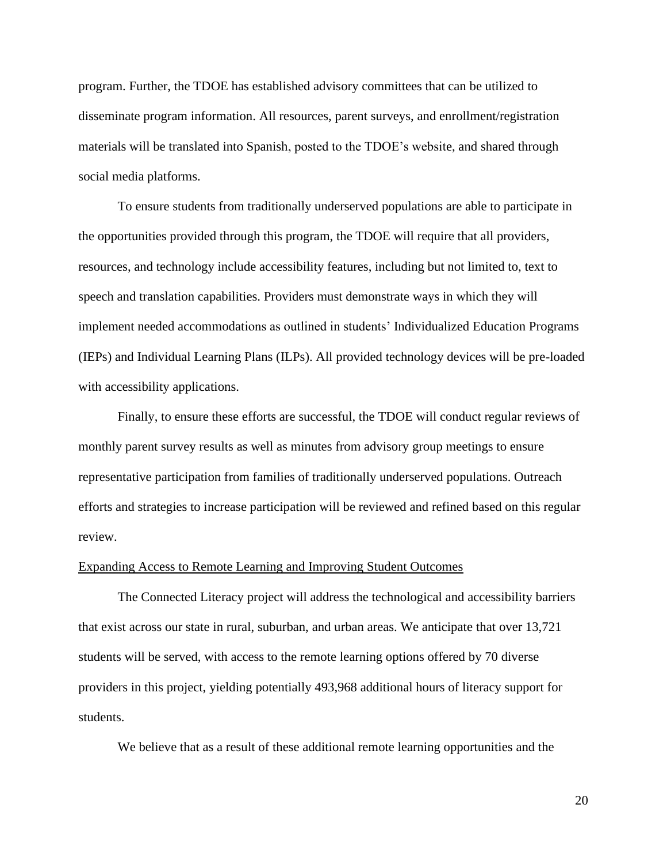program. Further, the TDOE has established advisory committees that can be utilized to disseminate program information. All resources, parent surveys, and enrollment/registration materials will be translated into Spanish, posted to the TDOE's website, and shared through social media platforms.

To ensure students from traditionally underserved populations are able to participate in the opportunities provided through this program, the TDOE will require that all providers, resources, and technology include accessibility features, including but not limited to, text to speech and translation capabilities. Providers must demonstrate ways in which they will implement needed accommodations as outlined in students' Individualized Education Programs (IEPs) and Individual Learning Plans (ILPs). All provided technology devices will be pre-loaded with accessibility applications.

Finally, to ensure these efforts are successful, the TDOE will conduct regular reviews of monthly parent survey results as well as minutes from advisory group meetings to ensure representative participation from families of traditionally underserved populations. Outreach efforts and strategies to increase participation will be reviewed and refined based on this regular review.

# <span id="page-20-0"></span>Expanding Access to Remote Learning and Improving Student Outcomes

The Connected Literacy project will address the technological and accessibility barriers that exist across our state in rural, suburban, and urban areas. We anticipate that over 13,721 students will be served, with access to the remote learning options offered by 70 diverse providers in this project, yielding potentially 493,968 additional hours of literacy support for students.

We believe that as a result of these additional remote learning opportunities and the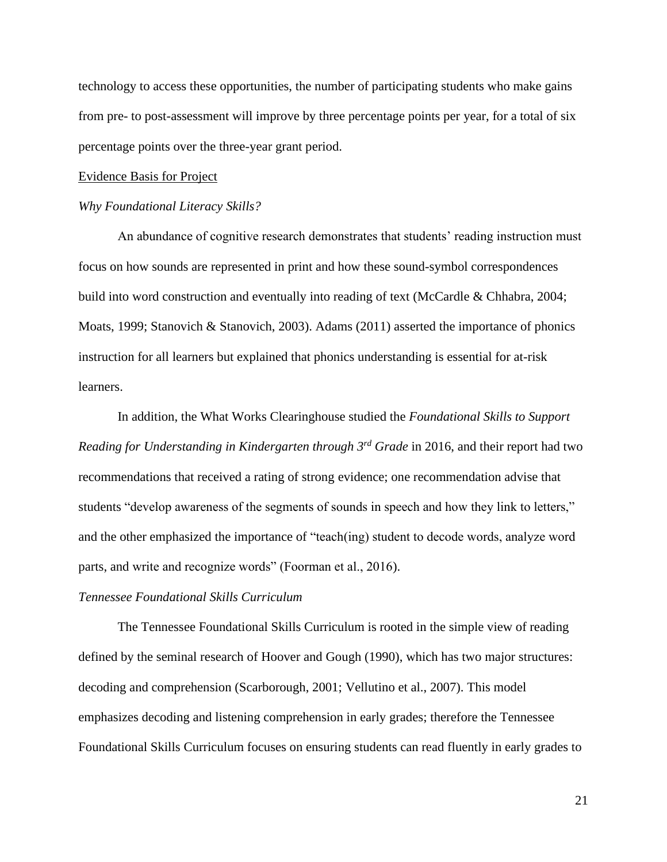technology to access these opportunities, the number of participating students who make gains from pre- to post-assessment will improve by three percentage points per year, for a total of six percentage points over the three-year grant period.

#### <span id="page-21-0"></span>Evidence Basis for Project

#### *Why Foundational Literacy Skills?*

An abundance of cognitive research demonstrates that students' reading instruction must focus on how sounds are represented in print and how these sound-symbol correspondences build into word construction and eventually into reading of text (McCardle & Chhabra, 2004; Moats, 1999; Stanovich & Stanovich, 2003). Adams (2011) asserted the importance of phonics instruction for all learners but explained that phonics understanding is essential for at-risk learners.

In addition, the What Works Clearinghouse studied the *Foundational Skills to Support Reading for Understanding in Kindergarten through 3rd Grade* in 2016, and their report had two recommendations that received a rating of strong evidence; one recommendation advise that students "develop awareness of the segments of sounds in speech and how they link to letters," and the other emphasized the importance of "teach(ing) student to decode words, analyze word parts, and write and recognize words" (Foorman et al., 2016).

# *Tennessee Foundational Skills Curriculum*

The Tennessee Foundational Skills Curriculum is rooted in the simple view of reading defined by the seminal research of Hoover and Gough (1990), which has two major structures: decoding and comprehension (Scarborough, 2001; Vellutino et al., 2007). This model emphasizes decoding and listening comprehension in early grades; therefore the Tennessee Foundational Skills Curriculum focuses on ensuring students can read fluently in early grades to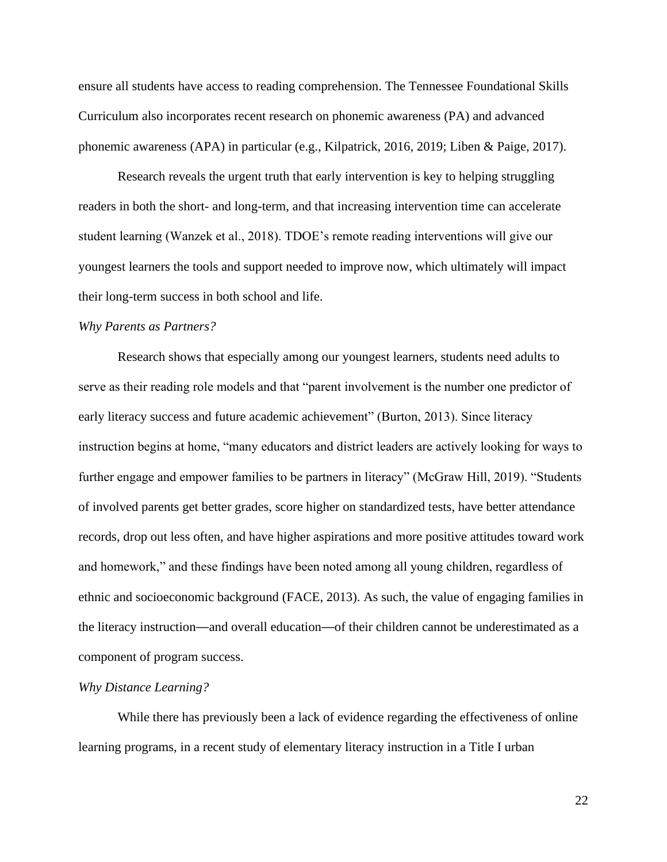ensure all students have access to reading comprehension. The Tennessee Foundational Skills Curriculum also incorporates recent research on phonemic awareness (PA) and advanced phonemic awareness (APA) in particular (e.g., Kilpatrick, 2016, 2019; Liben & Paige, 2017).

Research reveals the urgent truth that early intervention is key to helping struggling readers in both the short- and long-term, and that increasing intervention time can accelerate student learning (Wanzek et al., 2018). TDOE's remote reading interventions will give our youngest learners the tools and support needed to improve now, which ultimately will impact their long-term success in both school and life.

# *Why Parents as Partners?*

Research shows that especially among our youngest learners, students need adults to serve as their reading role models and that "parent involvement is the number one predictor of early literacy success and future academic achievement" (Burton, 2013). Since literacy instruction begins at home, "many educators and district leaders are actively looking for ways to further engage and empower families to be partners in literacy" (McGraw Hill, 2019). "Students of involved parents get better grades, score higher on standardized tests, have better attendance records, drop out less often, and have higher aspirations and more positive attitudes toward work and homework," and these findings have been noted among all young children, regardless of ethnic and socioeconomic background (FACE, 2013). As such, the value of engaging families in the literacy instruction—and overall education—of their children cannot be underestimated as a component of program success.

#### *Why Distance Learning?*

While there has previously been a lack of evidence regarding the effectiveness of online learning programs, in a recent study of elementary literacy instruction in a Title I urban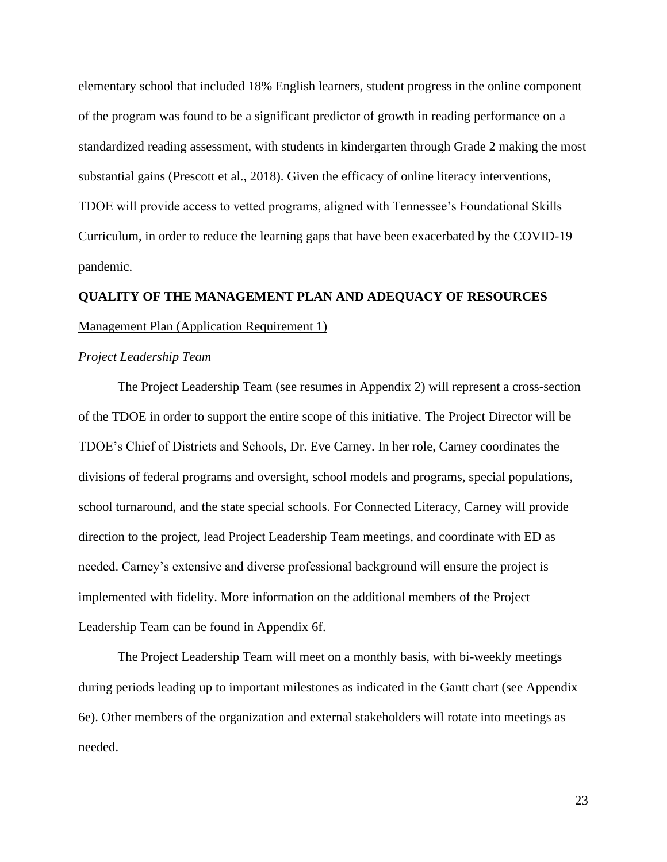elementary school that included 18% English learners, student progress in the online component of the program was found to be a significant predictor of growth in reading performance on a standardized reading assessment, with students in kindergarten through Grade 2 making the most substantial gains (Prescott et al., 2018). Given the efficacy of online literacy interventions, TDOE will provide access to vetted programs, aligned with Tennessee's Foundational Skills Curriculum, in order to reduce the learning gaps that have been exacerbated by the COVID-19 pandemic.

# <span id="page-23-1"></span><span id="page-23-0"></span>**QUALITY OF THE MANAGEMENT PLAN AND ADEQUACY OF RESOURCES** Management Plan (Application Requirement 1)

# *Project Leadership Team*

The Project Leadership Team (see resumes in Appendix 2) will represent a cross-section of the TDOE in order to support the entire scope of this initiative. The Project Director will be TDOE's Chief of Districts and Schools, Dr. Eve Carney. In her role, Carney coordinates the divisions of federal programs and oversight, school models and programs, special populations, school turnaround, and the state special schools. For Connected Literacy, Carney will provide direction to the project, lead Project Leadership Team meetings, and coordinate with ED as needed. Carney's extensive and diverse professional background will ensure the project is implemented with fidelity. More information on the additional members of the Project Leadership Team can be found in Appendix 6f.

The Project Leadership Team will meet on a monthly basis, with bi-weekly meetings during periods leading up to important milestones as indicated in the Gantt chart (see Appendix 6e). Other members of the organization and external stakeholders will rotate into meetings as needed.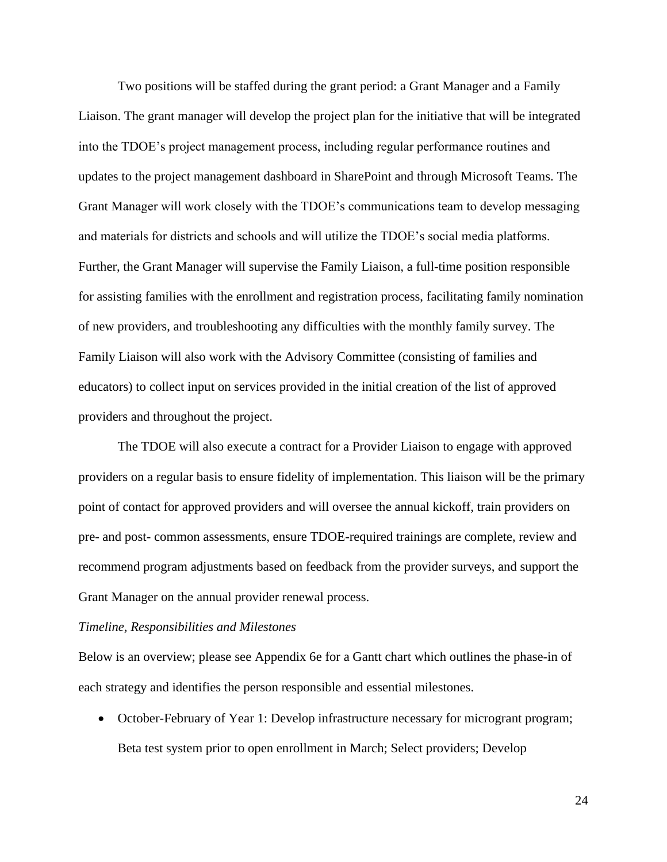Two positions will be staffed during the grant period: a Grant Manager and a Family Liaison. The grant manager will develop the project plan for the initiative that will be integrated into the TDOE's project management process, including regular performance routines and updates to the project management dashboard in SharePoint and through Microsoft Teams. The Grant Manager will work closely with the TDOE's communications team to develop messaging and materials for districts and schools and will utilize the TDOE's social media platforms. Further, the Grant Manager will supervise the Family Liaison, a full-time position responsible for assisting families with the enrollment and registration process, facilitating family nomination of new providers, and troubleshooting any difficulties with the monthly family survey. The Family Liaison will also work with the Advisory Committee (consisting of families and educators) to collect input on services provided in the initial creation of the list of approved providers and throughout the project.

The TDOE will also execute a contract for a Provider Liaison to engage with approved providers on a regular basis to ensure fidelity of implementation. This liaison will be the primary point of contact for approved providers and will oversee the annual kickoff, train providers on pre- and post- common assessments, ensure TDOE-required trainings are complete, review and recommend program adjustments based on feedback from the provider surveys, and support the Grant Manager on the annual provider renewal process.

#### *Timeline, Responsibilities and Milestones*

Below is an overview; please see Appendix 6e for a Gantt chart which outlines the phase-in of each strategy and identifies the person responsible and essential milestones.

• October-February of Year 1: Develop infrastructure necessary for microgrant program; Beta test system prior to open enrollment in March; Select providers; Develop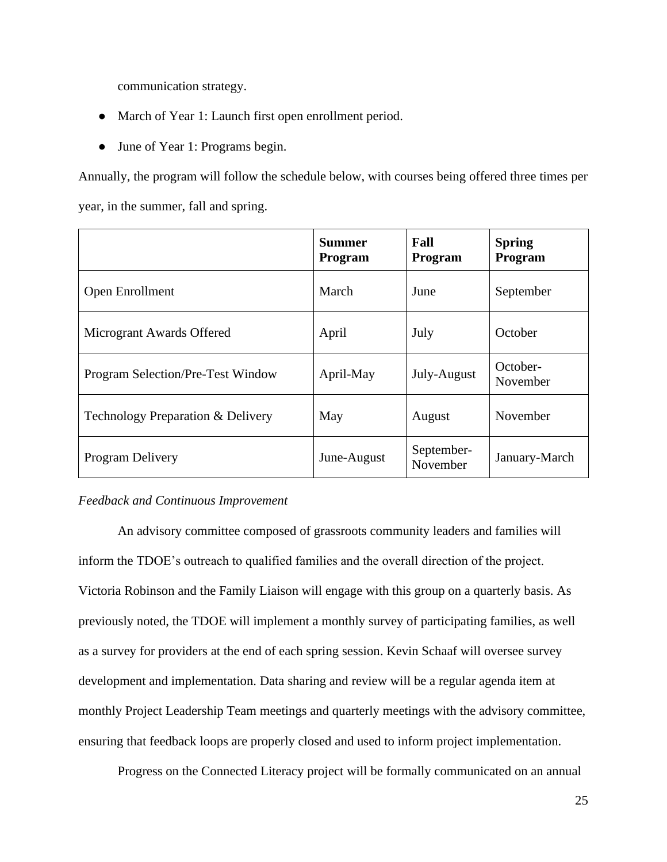communication strategy.

- March of Year 1: Launch first open enrollment period.
- June of Year 1: Programs begin.

Annually, the program will follow the schedule below, with courses being offered three times per year, in the summer, fall and spring.

|                                   | <b>Summer</b><br><b>Program</b> | Fall<br><b>Program</b> | <b>Spring</b><br>Program |
|-----------------------------------|---------------------------------|------------------------|--------------------------|
| Open Enrollment                   | March                           | June                   | September                |
| Microgrant Awards Offered         | April                           | July                   | October                  |
| Program Selection/Pre-Test Window | April-May                       | July-August            | October-<br>November     |
| Technology Preparation & Delivery | May                             | August                 | November                 |
| Program Delivery                  | June-August                     | September-<br>November | January-March            |

# *Feedback and Continuous Improvement*

An advisory committee composed of grassroots community leaders and families will inform the TDOE's outreach to qualified families and the overall direction of the project. Victoria Robinson and the Family Liaison will engage with this group on a quarterly basis. As previously noted, the TDOE will implement a monthly survey of participating families, as well as a survey for providers at the end of each spring session. Kevin Schaaf will oversee survey development and implementation. Data sharing and review will be a regular agenda item at monthly Project Leadership Team meetings and quarterly meetings with the advisory committee, ensuring that feedback loops are properly closed and used to inform project implementation.

Progress on the Connected Literacy project will be formally communicated on an annual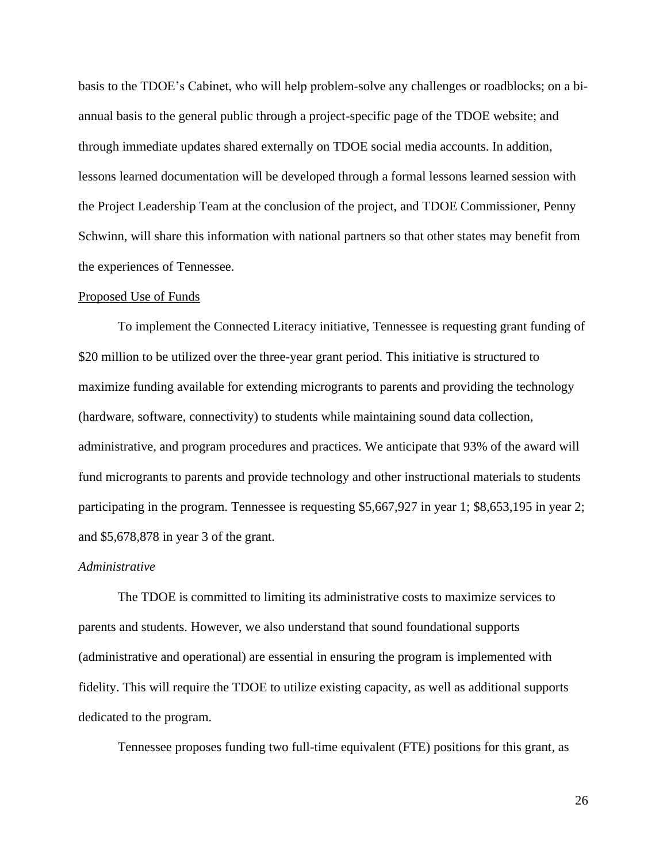basis to the TDOE's Cabinet, who will help problem-solve any challenges or roadblocks; on a biannual basis to the general public through a project-specific page of the TDOE website; and through immediate updates shared externally on TDOE social media accounts. In addition, lessons learned documentation will be developed through a formal lessons learned session with the Project Leadership Team at the conclusion of the project, and TDOE Commissioner, Penny Schwinn, will share this information with national partners so that other states may benefit from the experiences of Tennessee.

#### <span id="page-26-0"></span>Proposed Use of Funds

To implement the Connected Literacy initiative, Tennessee is requesting grant funding of \$20 million to be utilized over the three-year grant period. This initiative is structured to maximize funding available for extending microgrants to parents and providing the technology (hardware, software, connectivity) to students while maintaining sound data collection, administrative, and program procedures and practices. We anticipate that 93% of the award will fund microgrants to parents and provide technology and other instructional materials to students participating in the program. Tennessee is requesting \$5,667,927 in year 1; \$8,653,195 in year 2; and \$5,678,878 in year 3 of the grant.

# *Administrative*

The TDOE is committed to limiting its administrative costs to maximize services to parents and students. However, we also understand that sound foundational supports (administrative and operational) are essential in ensuring the program is implemented with fidelity. This will require the TDOE to utilize existing capacity, as well as additional supports dedicated to the program.

Tennessee proposes funding two full-time equivalent (FTE) positions for this grant, as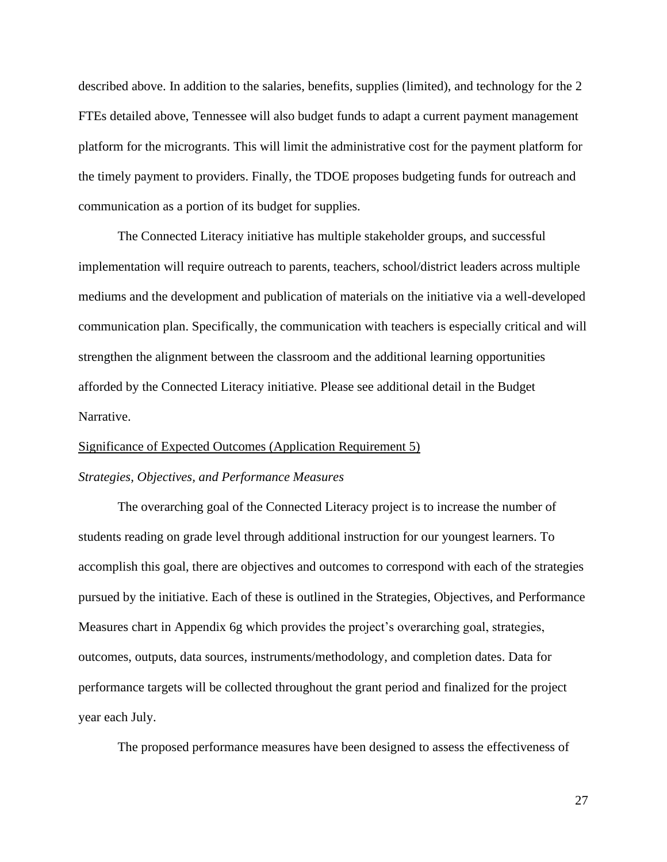described above. In addition to the salaries, benefits, supplies (limited), and technology for the 2 FTEs detailed above, Tennessee will also budget funds to adapt a current payment management platform for the microgrants. This will limit the administrative cost for the payment platform for the timely payment to providers. Finally, the TDOE proposes budgeting funds for outreach and communication as a portion of its budget for supplies.

The Connected Literacy initiative has multiple stakeholder groups, and successful implementation will require outreach to parents, teachers, school/district leaders across multiple mediums and the development and publication of materials on the initiative via a well-developed communication plan. Specifically, the communication with teachers is especially critical and will strengthen the alignment between the classroom and the additional learning opportunities afforded by the Connected Literacy initiative. Please see additional detail in the Budget Narrative.

# <span id="page-27-0"></span>Significance of Expected Outcomes (Application Requirement 5) *Strategies, Objectives, and Performance Measures*

The overarching goal of the Connected Literacy project is to increase the number of students reading on grade level through additional instruction for our youngest learners. To accomplish this goal, there are objectives and outcomes to correspond with each of the strategies pursued by the initiative. Each of these is outlined in the Strategies, Objectives, and Performance Measures chart in Appendix 6g which provides the project's overarching goal, strategies, outcomes, outputs, data sources, instruments/methodology, and completion dates. Data for performance targets will be collected throughout the grant period and finalized for the project year each July.

The proposed performance measures have been designed to assess the effectiveness of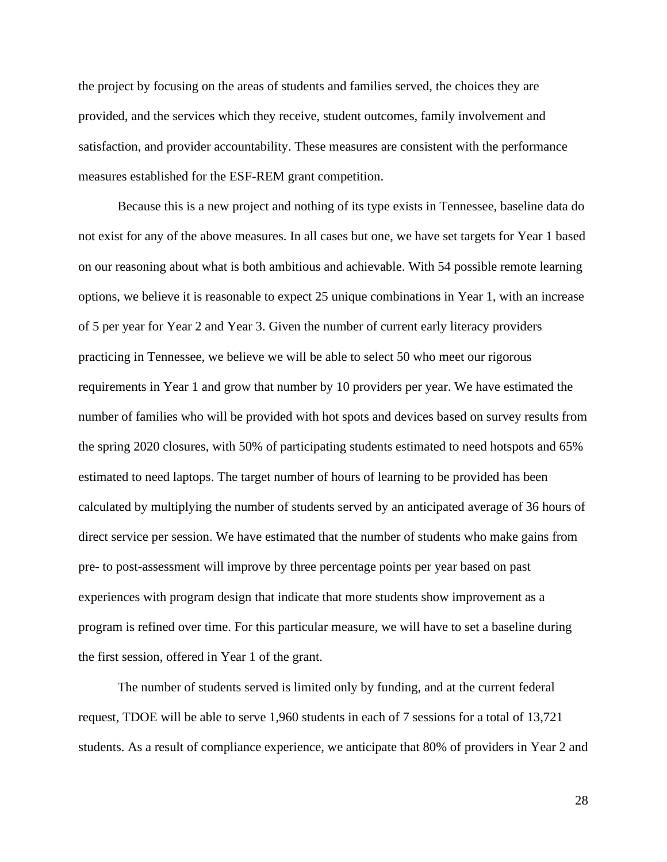the project by focusing on the areas of students and families served, the choices they are provided, and the services which they receive, student outcomes, family involvement and satisfaction, and provider accountability. These measures are consistent with the performance measures established for the ESF-REM grant competition.

Because this is a new project and nothing of its type exists in Tennessee, baseline data do not exist for any of the above measures. In all cases but one, we have set targets for Year 1 based on our reasoning about what is both ambitious and achievable. With 54 possible remote learning options, we believe it is reasonable to expect 25 unique combinations in Year 1, with an increase of 5 per year for Year 2 and Year 3. Given the number of current early literacy providers practicing in Tennessee, we believe we will be able to select 50 who meet our rigorous requirements in Year 1 and grow that number by 10 providers per year. We have estimated the number of families who will be provided with hot spots and devices based on survey results from the spring 2020 closures, with 50% of participating students estimated to need hotspots and 65% estimated to need laptops. The target number of hours of learning to be provided has been calculated by multiplying the number of students served by an anticipated average of 36 hours of direct service per session. We have estimated that the number of students who make gains from pre- to post-assessment will improve by three percentage points per year based on past experiences with program design that indicate that more students show improvement as a program is refined over time. For this particular measure, we will have to set a baseline during the first session, offered in Year 1 of the grant.

The number of students served is limited only by funding, and at the current federal request, TDOE will be able to serve 1,960 students in each of 7 sessions for a total of 13,721 students. As a result of compliance experience, we anticipate that 80% of providers in Year 2 and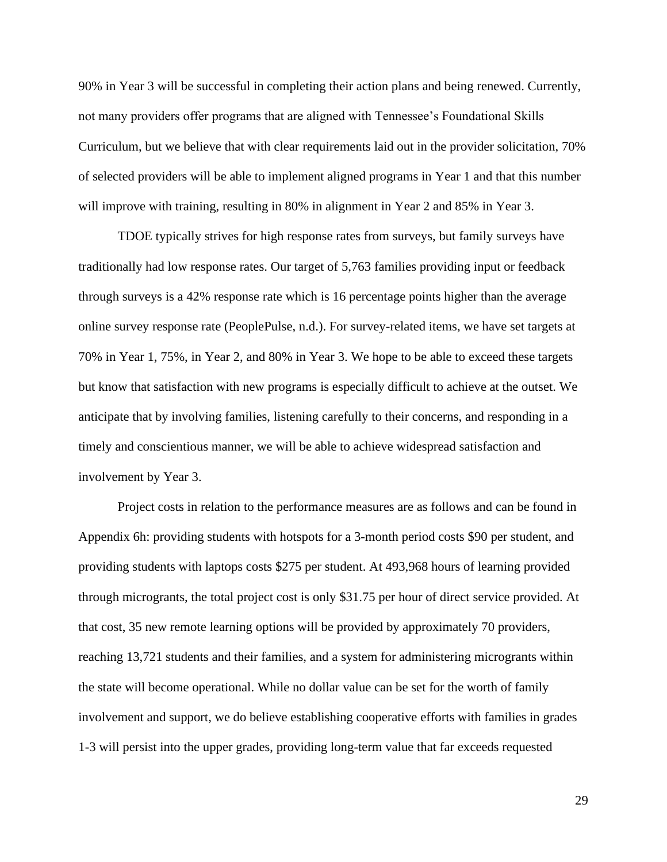90% in Year 3 will be successful in completing their action plans and being renewed. Currently, not many providers offer programs that are aligned with Tennessee's Foundational Skills Curriculum, but we believe that with clear requirements laid out in the provider solicitation, 70% of selected providers will be able to implement aligned programs in Year 1 and that this number will improve with training, resulting in 80% in alignment in Year 2 and 85% in Year 3.

TDOE typically strives for high response rates from surveys, but family surveys have traditionally had low response rates. Our target of 5,763 families providing input or feedback through surveys is a 42% response rate which is 16 percentage points higher than the average online survey response rate (PeoplePulse, n.d.). For survey-related items, we have set targets at 70% in Year 1, 75%, in Year 2, and 80% in Year 3. We hope to be able to exceed these targets but know that satisfaction with new programs is especially difficult to achieve at the outset. We anticipate that by involving families, listening carefully to their concerns, and responding in a timely and conscientious manner, we will be able to achieve widespread satisfaction and involvement by Year 3.

Project costs in relation to the performance measures are as follows and can be found in Appendix 6h: providing students with hotspots for a 3-month period costs \$90 per student, and providing students with laptops costs \$275 per student. At 493,968 hours of learning provided through microgrants, the total project cost is only \$31.75 per hour of direct service provided. At that cost, 35 new remote learning options will be provided by approximately 70 providers, reaching 13,721 students and their families, and a system for administering microgrants within the state will become operational. While no dollar value can be set for the worth of family involvement and support, we do believe establishing cooperative efforts with families in grades 1-3 will persist into the upper grades, providing long-term value that far exceeds requested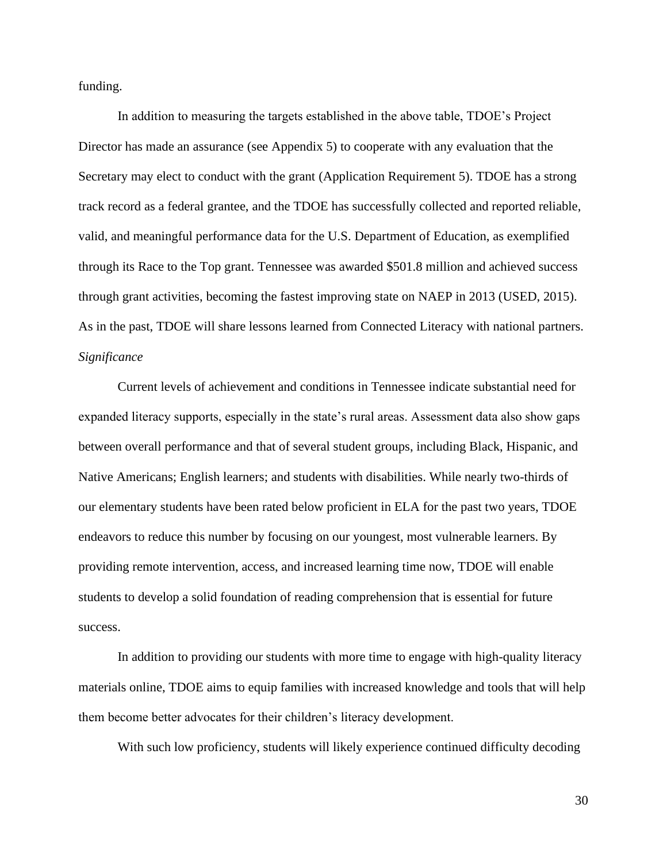funding.

In addition to measuring the targets established in the above table, TDOE's Project Director has made an assurance (see Appendix 5) to cooperate with any evaluation that the Secretary may elect to conduct with the grant (Application Requirement 5). TDOE has a strong track record as a federal grantee, and the TDOE has successfully collected and reported reliable, valid, and meaningful performance data for the U.S. Department of Education, as exemplified through its Race to the Top grant. Tennessee was awarded \$501.8 million and achieved success through grant activities, becoming the fastest improving state on NAEP in 2013 (USED, 2015). As in the past, TDOE will share lessons learned from Connected Literacy with national partners. *Significance*

Current levels of achievement and conditions in Tennessee indicate substantial need for expanded literacy supports, especially in the state's rural areas. Assessment data also show gaps between overall performance and that of several student groups, including Black, Hispanic, and Native Americans; English learners; and students with disabilities. While nearly two-thirds of our elementary students have been rated below proficient in ELA for the past two years, TDOE endeavors to reduce this number by focusing on our youngest, most vulnerable learners. By providing remote intervention, access, and increased learning time now, TDOE will enable students to develop a solid foundation of reading comprehension that is essential for future success.

In addition to providing our students with more time to engage with high-quality literacy materials online, TDOE aims to equip families with increased knowledge and tools that will help them become better advocates for their children's literacy development.

With such low proficiency, students will likely experience continued difficulty decoding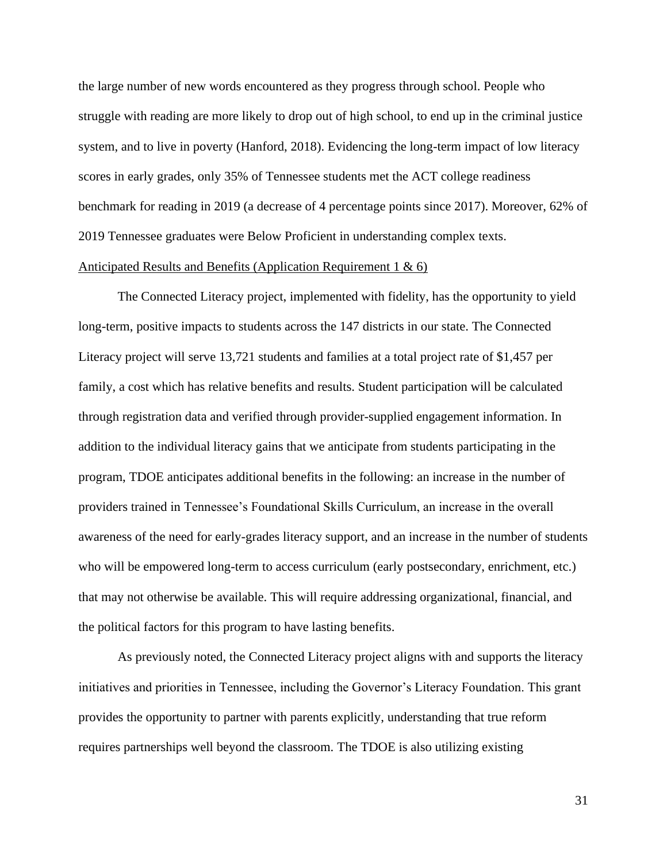the large number of new words encountered as they progress through school. People who struggle with reading are more likely to drop out of high school, to end up in the criminal justice system, and to live in poverty (Hanford, 2018). Evidencing the long-term impact of low literacy scores in early grades, only 35% of Tennessee students met the ACT college readiness benchmark for reading in 2019 (a decrease of 4 percentage points since 2017). Moreover, 62% of 2019 Tennessee graduates were Below Proficient in understanding complex texts.

# <span id="page-31-0"></span>Anticipated Results and Benefits (Application Requirement 1 & 6)

The Connected Literacy project, implemented with fidelity, has the opportunity to yield long-term, positive impacts to students across the 147 districts in our state. The Connected Literacy project will serve 13,721 students and families at a total project rate of \$1,457 per family, a cost which has relative benefits and results. Student participation will be calculated through registration data and verified through provider-supplied engagement information. In addition to the individual literacy gains that we anticipate from students participating in the program, TDOE anticipates additional benefits in the following: an increase in the number of providers trained in Tennessee's Foundational Skills Curriculum, an increase in the overall awareness of the need for early-grades literacy support, and an increase in the number of students who will be empowered long-term to access curriculum (early postsecondary, enrichment, etc.) that may not otherwise be available. This will require addressing organizational, financial, and the political factors for this program to have lasting benefits.

As previously noted, the Connected Literacy project aligns with and supports the literacy initiatives and priorities in Tennessee, including the Governor's Literacy Foundation. This grant provides the opportunity to partner with parents explicitly, understanding that true reform requires partnerships well beyond the classroom. The TDOE is also utilizing existing